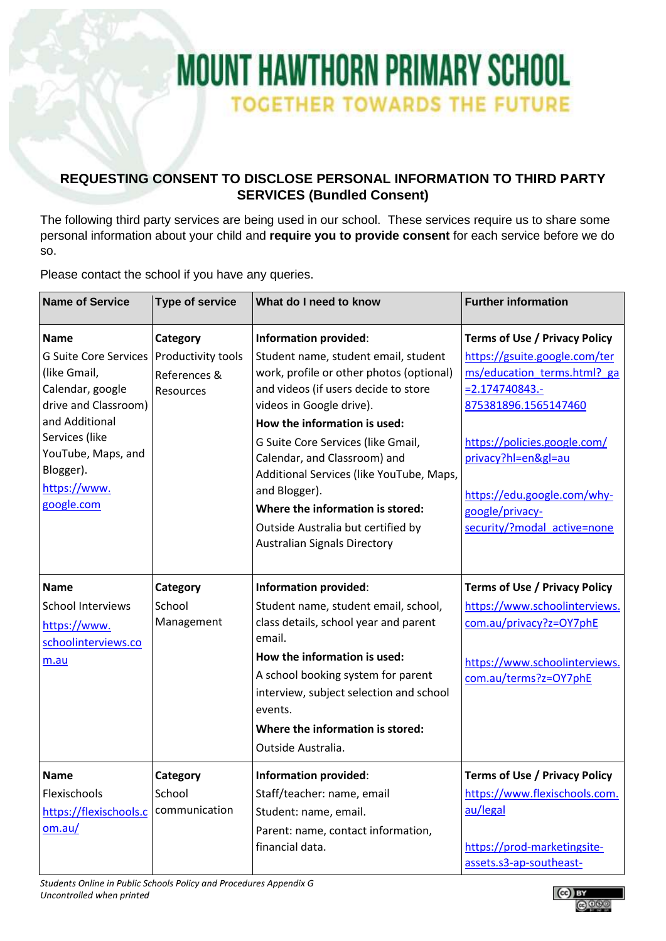## **MOUNT HAWTHORN PRIMARY SCHOOL TOGETHER TOWARDS THE FUTURE**

## **REQUESTING CONSENT TO DISCLOSE PERSONAL INFORMATION TO THIRD PARTY SERVICES (Bundled Consent)**

The following third party services are being used in our school. These services require us to share some personal information about your child and **require you to provide consent** for each service before we do so.

Please contact the school if you have any queries.

| <b>Name of Service</b>                                                                                                                                                                        | <b>Type of service</b>                          | What do I need to know                                                                                                                                                                                                                                                                                                                                                                                                                   | <b>Further information</b>                                                                                                                                                                                                                     |
|-----------------------------------------------------------------------------------------------------------------------------------------------------------------------------------------------|-------------------------------------------------|------------------------------------------------------------------------------------------------------------------------------------------------------------------------------------------------------------------------------------------------------------------------------------------------------------------------------------------------------------------------------------------------------------------------------------------|------------------------------------------------------------------------------------------------------------------------------------------------------------------------------------------------------------------------------------------------|
| <b>Name</b>                                                                                                                                                                                   | Category                                        | <b>Information provided:</b>                                                                                                                                                                                                                                                                                                                                                                                                             | <b>Terms of Use / Privacy Policy</b>                                                                                                                                                                                                           |
| <b>G Suite Core Services</b><br>(like Gmail,<br>Calendar, google<br>drive and Classroom)<br>and Additional<br>Services (like<br>YouTube, Maps, and<br>Blogger).<br>https://www.<br>google.com | Productivity tools<br>References &<br>Resources | Student name, student email, student<br>work, profile or other photos (optional)<br>and videos (if users decide to store<br>videos in Google drive).<br>How the information is used:<br>G Suite Core Services (like Gmail,<br>Calendar, and Classroom) and<br>Additional Services (like YouTube, Maps,<br>and Blogger).<br>Where the information is stored:<br>Outside Australia but certified by<br><b>Australian Signals Directory</b> | https://gsuite.google.com/ter<br>ms/education_terms.html?_ga<br>$= 2.174740843.$<br>875381896.1565147460<br>https://policies.google.com/<br>privacy?hl=en≷=au<br>https://edu.google.com/why-<br>google/privacy-<br>security/?modal active=none |
| <b>Name</b><br><b>School Interviews</b><br>https://www.<br>schoolinterviews.co<br>m.au                                                                                                        | Category<br>School<br>Management                | <b>Information provided:</b><br>Student name, student email, school,<br>class details, school year and parent<br>email.<br>How the information is used:<br>A school booking system for parent<br>interview, subject selection and school<br>events.<br>Where the information is stored:<br>Outside Australia.                                                                                                                            | <b>Terms of Use / Privacy Policy</b><br>https://www.schoolinterviews.<br>com.au/privacy?z=OY7phE<br>https://www.schoolinterviews.<br>com.au/terms?z=OY7phE                                                                                     |
| <b>Name</b><br>Flexischools<br>https://flexischools.c<br>om.au/                                                                                                                               | Category<br>School<br>communication             | <b>Information provided:</b><br>Staff/teacher: name, email<br>Student: name, email.<br>Parent: name, contact information,<br>financial data.                                                                                                                                                                                                                                                                                             | <b>Terms of Use / Privacy Policy</b><br>https://www.flexischools.com.<br>au/legal<br>https://prod-marketingsite-<br>assets.s3-ap-southeast-                                                                                                    |

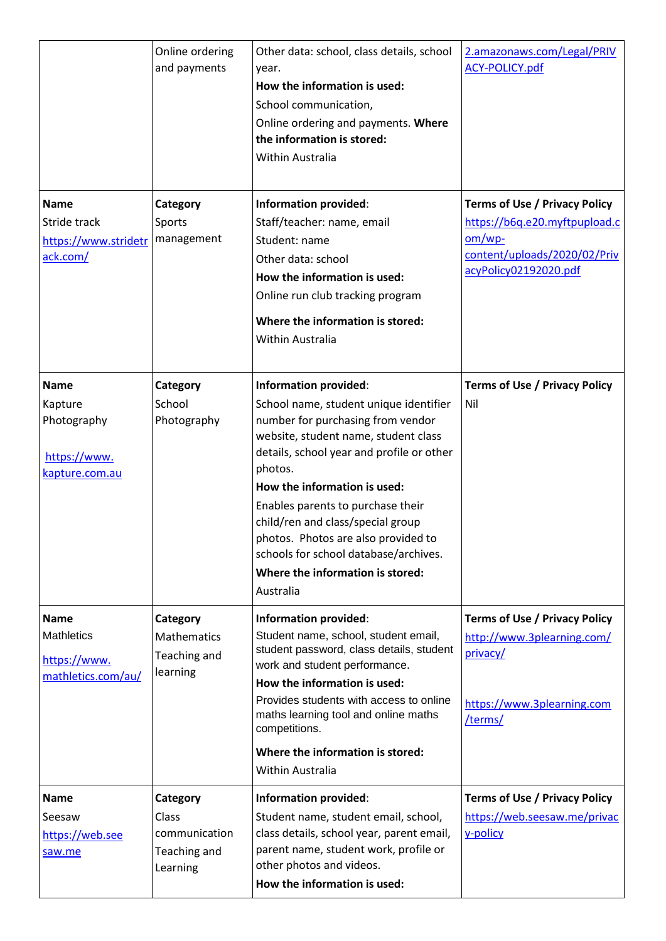|                                                                         | Online ordering<br>and payments                                | Other data: school, class details, school<br>year.<br>How the information is used:<br>School communication,<br>Online ordering and payments. Where<br>the information is stored:<br><b>Within Australia</b>                                                                                                                                                                                                                                            | 2.amazonaws.com/Legal/PRIV<br>ACY-POLICY.pdf                                                                                                |
|-------------------------------------------------------------------------|----------------------------------------------------------------|--------------------------------------------------------------------------------------------------------------------------------------------------------------------------------------------------------------------------------------------------------------------------------------------------------------------------------------------------------------------------------------------------------------------------------------------------------|---------------------------------------------------------------------------------------------------------------------------------------------|
| <b>Name</b><br>Stride track<br>https://www.stridetr<br>ack.com/         | Category<br>Sports<br>management                               | Information provided:<br>Staff/teacher: name, email<br>Student: name<br>Other data: school<br>How the information is used:<br>Online run club tracking program<br>Where the information is stored:<br>Within Australia                                                                                                                                                                                                                                 | <b>Terms of Use / Privacy Policy</b><br>https://b6q.e20.myftpupload.c<br>$om/wp$ -<br>content/uploads/2020/02/Priv<br>acyPolicy02192020.pdf |
| <b>Name</b><br>Kapture<br>Photography<br>https://www.<br>kapture.com.au | Category<br>School<br>Photography                              | <b>Information provided:</b><br>School name, student unique identifier<br>number for purchasing from vendor<br>website, student name, student class<br>details, school year and profile or other<br>photos.<br>How the information is used:<br>Enables parents to purchase their<br>child/ren and class/special group<br>photos. Photos are also provided to<br>schools for school database/archives.<br>Where the information is stored:<br>Australia | <b>Terms of Use / Privacy Policy</b><br>Nil                                                                                                 |
| <b>Name</b><br><b>Mathletics</b><br>https://www.<br>mathletics.com/au/  | Category<br><b>Mathematics</b><br>Teaching and<br>learning     | Information provided:<br>Student name, school, student email,<br>student password, class details, student<br>work and student performance.<br>How the information is used:<br>Provides students with access to online<br>maths learning tool and online maths<br>competitions.<br>Where the information is stored:<br>Within Australia                                                                                                                 | <b>Terms of Use / Privacy Policy</b><br>http://www.3plearning.com/<br>privacy/<br>https://www.3plearning.com<br>/terms/                     |
| <b>Name</b><br>Seesaw<br>https://web.see<br>saw.me                      | Category<br>Class<br>communication<br>Teaching and<br>Learning | <b>Information provided:</b><br>Student name, student email, school,<br>class details, school year, parent email,<br>parent name, student work, profile or<br>other photos and videos.<br>How the information is used:                                                                                                                                                                                                                                 | <b>Terms of Use / Privacy Policy</b><br>https://web.seesaw.me/privac<br>y-policy                                                            |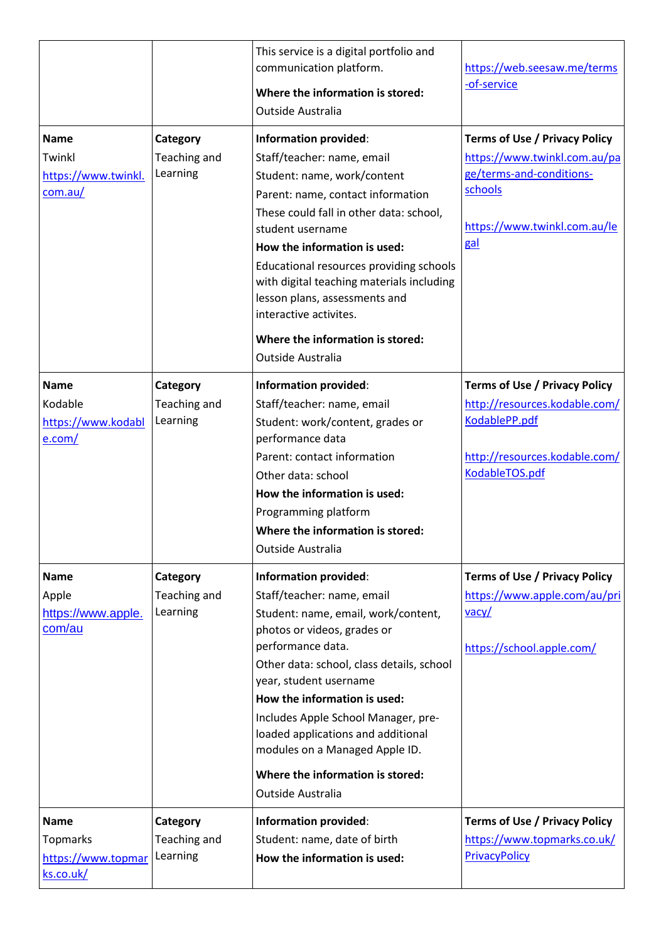|                                                                   |                                      | This service is a digital portfolio and<br>communication platform.<br>Where the information is stored:<br>Outside Australia                                                                                                                                                                                                                                                                                                               | https://web.seesaw.me/terms<br>-of-service                                                                                                         |
|-------------------------------------------------------------------|--------------------------------------|-------------------------------------------------------------------------------------------------------------------------------------------------------------------------------------------------------------------------------------------------------------------------------------------------------------------------------------------------------------------------------------------------------------------------------------------|----------------------------------------------------------------------------------------------------------------------------------------------------|
| <b>Name</b><br>Twinkl<br>https://www.twinkl.<br>com.au/           | Category<br>Teaching and<br>Learning | <b>Information provided:</b><br>Staff/teacher: name, email<br>Student: name, work/content<br>Parent: name, contact information<br>These could fall in other data: school,<br>student username<br>How the information is used:<br>Educational resources providing schools<br>with digital teaching materials including<br>lesson plans, assessments and<br>interactive activites.<br>Where the information is stored:<br>Outside Australia | <b>Terms of Use / Privacy Policy</b><br>https://www.twinkl.com.au/pa<br>ge/terms-and-conditions-<br>schools<br>https://www.twinkl.com.au/le<br>gal |
| <b>Name</b><br>Kodable<br>https://www.kodabl<br>e.com/            | Category<br>Teaching and<br>Learning | <b>Information provided:</b><br>Staff/teacher: name, email<br>Student: work/content, grades or<br>performance data<br>Parent: contact information<br>Other data: school<br>How the information is used:<br>Programming platform<br>Where the information is stored:<br>Outside Australia                                                                                                                                                  | <b>Terms of Use / Privacy Policy</b><br>http://resources.kodable.com/<br>KodablePP.pdf<br>http://resources.kodable.com/<br>KodableTOS.pdf          |
| <b>Name</b><br>Apple<br>https://www.apple.<br>com/au              | Category<br>Teaching and<br>Learning | <b>Information provided:</b><br>Staff/teacher: name, email<br>Student: name, email, work/content,<br>photos or videos, grades or<br>performance data.<br>Other data: school, class details, school<br>year, student username<br>How the information is used:<br>Includes Apple School Manager, pre-<br>loaded applications and additional<br>modules on a Managed Apple ID.<br>Where the information is stored:<br>Outside Australia      | <b>Terms of Use / Privacy Policy</b><br>https://www.apple.com/au/pri<br>$\frac{vacy}{\sqrt{2}}$<br>https://school.apple.com/                       |
| <b>Name</b><br><b>Topmarks</b><br>https://www.topmar<br>ks.co.uk/ | Category<br>Teaching and<br>Learning | <b>Information provided:</b><br>Student: name, date of birth<br>How the information is used:                                                                                                                                                                                                                                                                                                                                              | <b>Terms of Use / Privacy Policy</b><br>https://www.topmarks.co.uk/<br>PrivacyPolicy                                                               |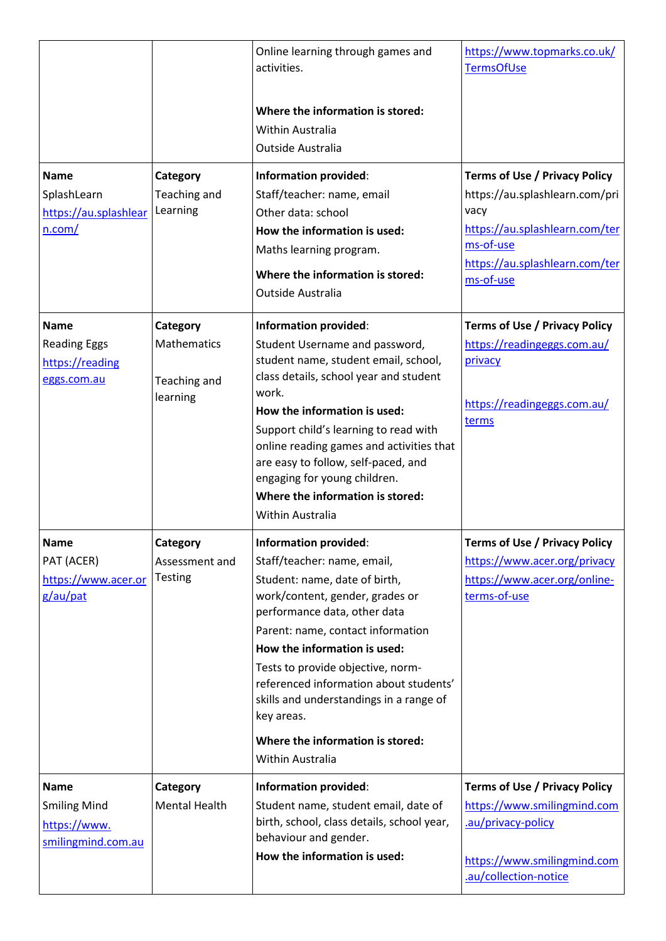|                                                                          |                                                     | Online learning through games and<br>activities.                                                                                                                                                                                                                                                                                                                                                                                     | https://www.topmarks.co.uk/<br><b>TermsOfUse</b>                                                                                                                             |
|--------------------------------------------------------------------------|-----------------------------------------------------|--------------------------------------------------------------------------------------------------------------------------------------------------------------------------------------------------------------------------------------------------------------------------------------------------------------------------------------------------------------------------------------------------------------------------------------|------------------------------------------------------------------------------------------------------------------------------------------------------------------------------|
|                                                                          |                                                     | Where the information is stored:<br>Within Australia<br>Outside Australia                                                                                                                                                                                                                                                                                                                                                            |                                                                                                                                                                              |
| <b>Name</b><br>SplashLearn<br>https://au.splashlear<br>n.com/            | Category<br>Teaching and<br>Learning                | <b>Information provided:</b><br>Staff/teacher: name, email<br>Other data: school<br>How the information is used:<br>Maths learning program.<br>Where the information is stored:<br>Outside Australia                                                                                                                                                                                                                                 | <b>Terms of Use / Privacy Policy</b><br>https://au.splashlearn.com/pri<br>vacy<br>https://au.splashlearn.com/ter<br>ms-of-use<br>https://au.splashlearn.com/ter<br>ms-of-use |
| <b>Name</b><br><b>Reading Eggs</b><br>https://reading<br>eggs.com.au     | Category<br>Mathematics<br>Teaching and<br>learning | <b>Information provided:</b><br>Student Username and password,<br>student name, student email, school,<br>class details, school year and student<br>work.<br>How the information is used:<br>Support child's learning to read with<br>online reading games and activities that<br>are easy to follow, self-paced, and<br>engaging for young children.<br>Where the information is stored:<br>Within Australia                        | <b>Terms of Use / Privacy Policy</b><br>https://readingeggs.com.au/<br>privacy<br>https://readingeggs.com.au/<br>terms                                                       |
| Name<br>PAT (ACER)<br>https://www.acer.or<br>g/au/pat                    | Category<br>Assessment and<br><b>Testing</b>        | <b>Information provided:</b><br>Staff/teacher: name, email,<br>Student: name, date of birth,<br>work/content, gender, grades or<br>performance data, other data<br>Parent: name, contact information<br>How the information is used:<br>Tests to provide objective, norm-<br>referenced information about students'<br>skills and understandings in a range of<br>key areas.<br>Where the information is stored:<br>Within Australia | <b>Terms of Use / Privacy Policy</b><br>https://www.acer.org/privacy<br>https://www.acer.org/online-<br>terms-of-use                                                         |
| <b>Name</b><br><b>Smiling Mind</b><br>https://www.<br>smilingmind.com.au | Category<br><b>Mental Health</b>                    | <b>Information provided:</b><br>Student name, student email, date of<br>birth, school, class details, school year,<br>behaviour and gender.<br>How the information is used:                                                                                                                                                                                                                                                          | <b>Terms of Use / Privacy Policy</b><br>https://www.smilingmind.com<br>.au/privacy-policy<br>https://www.smilingmind.com<br>.au/collection-notice                            |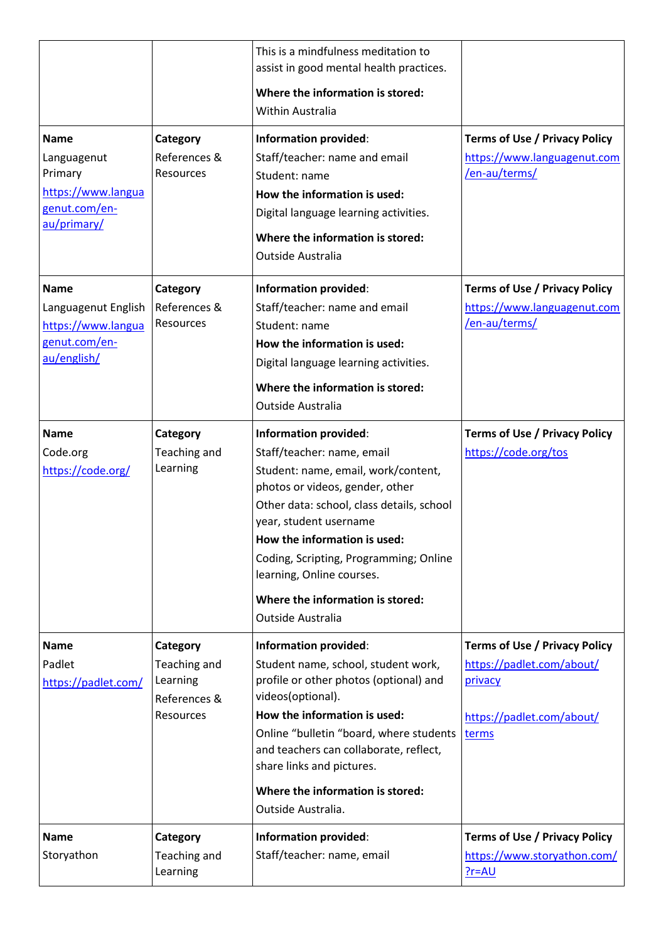|                                                                                             |                                                                   | This is a mindfulness meditation to<br>assist in good mental health practices.<br>Where the information is stored:<br>Within Australia                                                                                                                                                                                                                                      |                                                                                                                    |
|---------------------------------------------------------------------------------------------|-------------------------------------------------------------------|-----------------------------------------------------------------------------------------------------------------------------------------------------------------------------------------------------------------------------------------------------------------------------------------------------------------------------------------------------------------------------|--------------------------------------------------------------------------------------------------------------------|
| <b>Name</b><br>Languagenut<br>Primary<br>https://www.langua<br>genut.com/en-<br>au/primary/ | Category<br>References &<br>Resources                             | <b>Information provided:</b><br>Staff/teacher: name and email<br>Student: name<br>How the information is used:<br>Digital language learning activities.<br>Where the information is stored:<br>Outside Australia                                                                                                                                                            | <b>Terms of Use / Privacy Policy</b><br>https://www.languagenut.com<br>/en-au/terms/                               |
| <b>Name</b><br>Languagenut English<br>https://www.langua<br>genut.com/en-<br>au/english/    | Category<br>References &<br><b>Resources</b>                      | Information provided:<br>Staff/teacher: name and email<br>Student: name<br>How the information is used:<br>Digital language learning activities.<br>Where the information is stored:<br>Outside Australia                                                                                                                                                                   | <b>Terms of Use / Privacy Policy</b><br>https://www.languagenut.com<br>/en-au/terms/                               |
| <b>Name</b><br>Code.org<br>https://code.org/                                                | Category<br>Teaching and<br>Learning                              | <b>Information provided:</b><br>Staff/teacher: name, email<br>Student: name, email, work/content,<br>photos or videos, gender, other<br>Other data: school, class details, school<br>year, student username<br>How the information is used:<br>Coding, Scripting, Programming; Online<br>learning, Online courses.<br>Where the information is stored:<br>Outside Australia | <b>Terms of Use / Privacy Policy</b><br>https://code.org/tos                                                       |
| <b>Name</b><br>Padlet<br>https://padlet.com/                                                | Category<br>Teaching and<br>Learning<br>References &<br>Resources | <b>Information provided:</b><br>Student name, school, student work,<br>profile or other photos (optional) and<br>videos(optional).<br>How the information is used:<br>Online "bulletin "board, where students<br>and teachers can collaborate, reflect,<br>share links and pictures.<br>Where the information is stored:<br>Outside Australia.                              | <b>Terms of Use / Privacy Policy</b><br>https://padlet.com/about/<br>privacy<br>https://padlet.com/about/<br>terms |
| <b>Name</b><br>Storyathon                                                                   | Category<br>Teaching and<br>Learning                              | Information provided:<br>Staff/teacher: name, email                                                                                                                                                                                                                                                                                                                         | <b>Terms of Use / Privacy Policy</b><br>https://www.storyathon.com/<br>$?r = AU$                                   |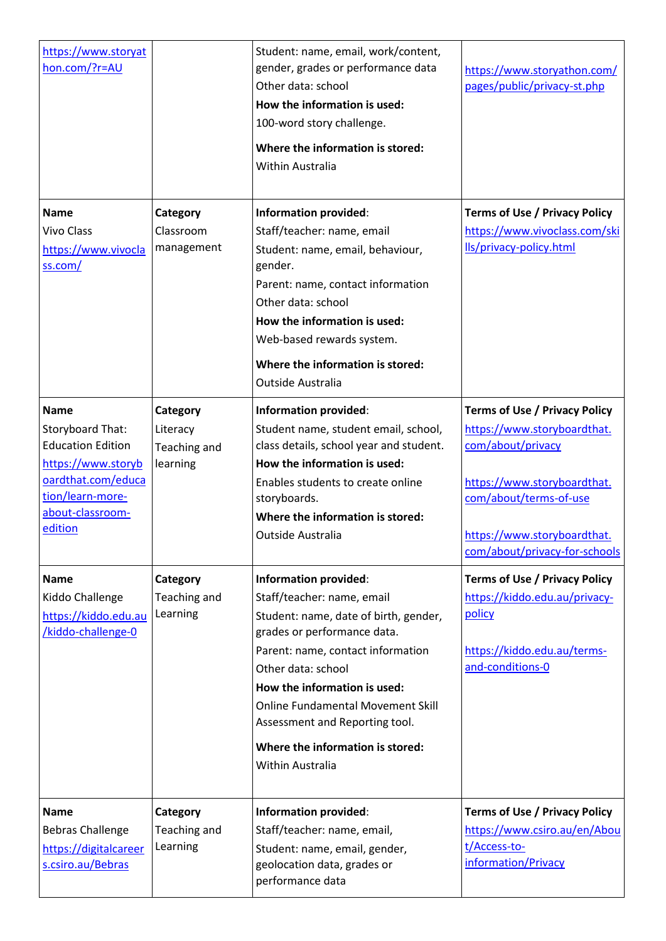| https://www.storyat<br>hon.com/?r=AU                                                                                                                       |                                                  | Student: name, email, work/content,<br>gender, grades or performance data<br>Other data: school<br>How the information is used:<br>100-word story challenge.<br>Where the information is stored:<br>Within Australia                                                                                                                                                | https://www.storyathon.com/<br>pages/public/privacy-st.php                                                                                                                                                        |
|------------------------------------------------------------------------------------------------------------------------------------------------------------|--------------------------------------------------|---------------------------------------------------------------------------------------------------------------------------------------------------------------------------------------------------------------------------------------------------------------------------------------------------------------------------------------------------------------------|-------------------------------------------------------------------------------------------------------------------------------------------------------------------------------------------------------------------|
| <b>Name</b><br><b>Vivo Class</b><br>https://www.vivocla<br>ss.com/                                                                                         | Category<br>Classroom<br>management              | <b>Information provided:</b><br>Staff/teacher: name, email<br>Student: name, email, behaviour,<br>gender.<br>Parent: name, contact information<br>Other data: school<br>How the information is used:<br>Web-based rewards system.<br>Where the information is stored:<br>Outside Australia                                                                          | <b>Terms of Use / Privacy Policy</b><br>https://www.vivoclass.com/ski<br>Ils/privacy-policy.html                                                                                                                  |
| <b>Name</b><br>Storyboard That:<br><b>Education Edition</b><br>https://www.storyb<br>oardthat.com/educa<br>tion/learn-more-<br>about-classroom-<br>edition | Category<br>Literacy<br>Teaching and<br>learning | <b>Information provided:</b><br>Student name, student email, school,<br>class details, school year and student.<br>How the information is used:<br>Enables students to create online<br>storyboards.<br>Where the information is stored:<br>Outside Australia                                                                                                       | <b>Terms of Use / Privacy Policy</b><br>https://www.storyboardthat.<br>com/about/privacy<br>https://www.storyboardthat.<br>com/about/terms-of-use<br>https://www.storyboardthat.<br>com/about/privacy-for-schools |
| <b>Name</b><br>Kiddo Challenge<br>https://kiddo.edu.au<br>/kiddo-challenge-0                                                                               | Category<br>Teaching and<br>Learning             | <b>Information provided:</b><br>Staff/teacher: name, email<br>Student: name, date of birth, gender,<br>grades or performance data.<br>Parent: name, contact information<br>Other data: school<br>How the information is used:<br><b>Online Fundamental Movement Skill</b><br>Assessment and Reporting tool.<br>Where the information is stored:<br>Within Australia | <b>Terms of Use / Privacy Policy</b><br>https://kiddo.edu.au/privacy-<br>policy<br>https://kiddo.edu.au/terms-<br>and-conditions-0                                                                                |
| <b>Name</b><br><b>Bebras Challenge</b><br>https://digitalcareer<br>s.csiro.au/Bebras                                                                       | Category<br>Teaching and<br>Learning             | <b>Information provided:</b><br>Staff/teacher: name, email,<br>Student: name, email, gender,<br>geolocation data, grades or<br>performance data                                                                                                                                                                                                                     | <b>Terms of Use / Privacy Policy</b><br>https://www.csiro.au/en/Abou<br>t/Access-to-<br>information/Privacy                                                                                                       |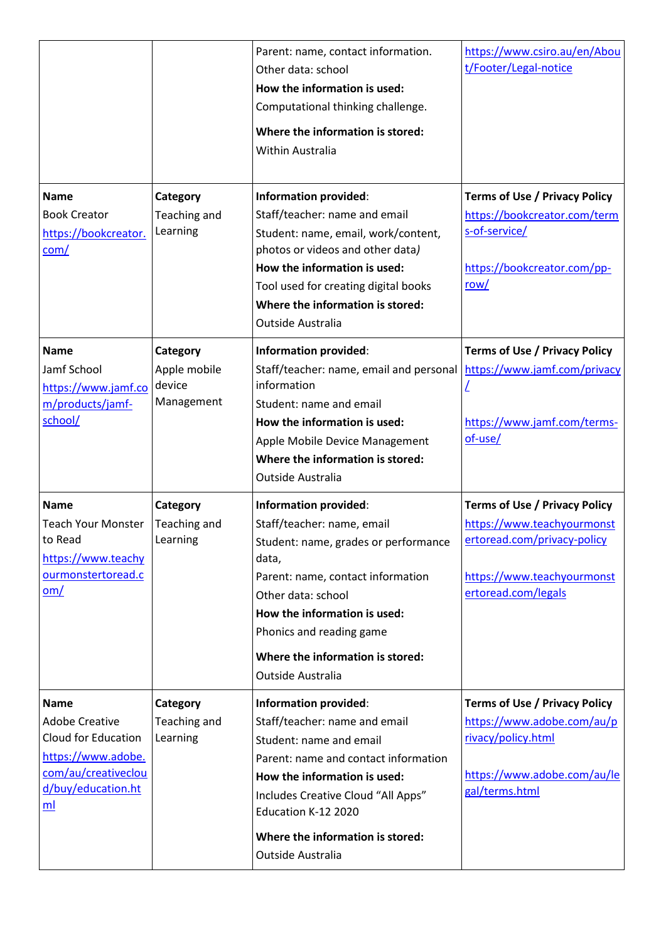|                                                                                                                                      |                                                  | Parent: name, contact information.<br>Other data: school<br>How the information is used:<br>Computational thinking challenge.<br>Where the information is stored:<br>Within Australia                                                                                                  | https://www.csiro.au/en/Abou<br>t/Footer/Legal-notice                                                                                                  |
|--------------------------------------------------------------------------------------------------------------------------------------|--------------------------------------------------|----------------------------------------------------------------------------------------------------------------------------------------------------------------------------------------------------------------------------------------------------------------------------------------|--------------------------------------------------------------------------------------------------------------------------------------------------------|
| <b>Name</b><br><b>Book Creator</b><br>https://bookcreator.<br>com/                                                                   | Category<br>Teaching and<br>Learning             | <b>Information provided:</b><br>Staff/teacher: name and email<br>Student: name, email, work/content,<br>photos or videos and other data)<br>How the information is used:<br>Tool used for creating digital books<br>Where the information is stored:<br><b>Outside Australia</b>       | <b>Terms of Use / Privacy Policy</b><br>https://bookcreator.com/term<br>s-of-service/<br>https://bookcreator.com/pp-<br>row/                           |
| <b>Name</b><br>Jamf School<br>https://www.jamf.co<br>m/products/jamf-<br>school/                                                     | Category<br>Apple mobile<br>device<br>Management | <b>Information provided:</b><br>Staff/teacher: name, email and personal   https://www.jamf.com/privacy<br>information<br>Student: name and email<br>How the information is used:<br>Apple Mobile Device Management<br>Where the information is stored:<br><b>Outside Australia</b>     | <b>Terms of Use / Privacy Policy</b><br>https://www.jamf.com/terms-<br>of-use/                                                                         |
| <b>Name</b><br><b>Teach Your Monster</b><br>to Read<br>https://www.teachy<br>ourmonstertoread.c<br>om/                               | Category<br>Teaching and<br>Learning             | Information provided:<br>Staff/teacher: name, email<br>Student: name, grades or performance<br>data,<br>Parent: name, contact information<br>Other data: school<br>How the information is used:<br>Phonics and reading game<br>Where the information is stored:<br>Outside Australia   | <b>Terms of Use / Privacy Policy</b><br>https://www.teachyourmonst<br>ertoread.com/privacy-policy<br>https://www.teachyourmonst<br>ertoread.com/legals |
| <b>Name</b><br><b>Adobe Creative</b><br>Cloud for Education<br>https://www.adobe.<br>com/au/creativeclou<br>d/buy/education.ht<br>ml | Category<br>Teaching and<br>Learning             | <b>Information provided:</b><br>Staff/teacher: name and email<br>Student: name and email<br>Parent: name and contact information<br>How the information is used:<br>Includes Creative Cloud "All Apps"<br>Education K-12 2020<br>Where the information is stored:<br>Outside Australia | <b>Terms of Use / Privacy Policy</b><br>https://www.adobe.com/au/p<br>rivacy/policy.html<br>https://www.adobe.com/au/le<br>gal/terms.html              |